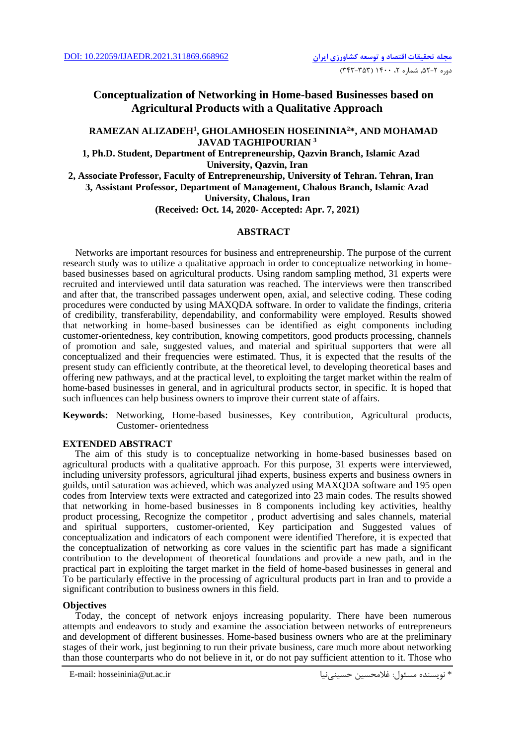# **Conceptualization of Networking in Home-based Businesses based on Agricultural Products with a Qualitative Approach**

## **RAMEZAN ALIZADEH<sup>1</sup> , GHOLAMHOSEIN HOSEININIA<sup>2</sup>\*, AND MOHAMAD JAVAD TAGHIPOURIAN <sup>3</sup>**

**1, Ph.D. Student, Department of Entrepreneurship, Qazvin Branch, Islamic Azad University, Qazvin, Iran**

**2, Associate Professor, Faculty of Entrepreneurship, University of Tehran. Tehran, Iran 3, Assistant Professor, Department of Management, Chalous Branch, Islamic Azad University, Chalous, Iran**

**(Received: Oct. 14, 2020- Accepted: Apr. 7, 2021)**

## **ABSTRACT**

Networks are important resources for business and entrepreneurship. The purpose of the current research study was to utilize a qualitative approach in order to conceptualize networking in homebased businesses based on agricultural products. Using random sampling method, 31 experts were recruited and interviewed until data saturation was reached. The interviews were then transcribed and after that, the transcribed passages underwent open, axial, and selective coding. These coding procedures were conducted by using MAXQDA software. In order to validate the findings, criteria of credibility, transferability, dependability, and conformability were employed. Results showed that networking in home-based businesses can be identified as eight components including customer-orientedness, key contribution, knowing competitors, good products processing, channels of promotion and sale, suggested values, and material and spiritual supporters that were all conceptualized and their frequencies were estimated. Thus, it is expected that the results of the present study can efficiently contribute, at the theoretical level, to developing theoretical bases and offering new pathways, and at the practical level, to exploiting the target market within the realm of home-based businesses in general, and in agricultural products sector, in specific. It is hoped that such influences can help business owners to improve their current state of affairs.

**Keywords:** Networking, Home-based businesses, Key contribution, Agricultural products, Customer- orientedness

## **EXTENDED ABSTRACT**

 The aim of this study is to conceptualize networking in home-based businesses based on agricultural products with a qualitative approach. For this purpose, 31 experts were interviewed, including university professors, agricultural jihad experts, business experts and business owners in guilds, until saturation was achieved, which was analyzed using MAXQDA software and 195 open codes from Interview texts were extracted and categorized into 23 main codes. The results showed that networking in home-based businesses in 8 components including key activities, healthy product processing, Recognize the competitor , product advertising and sales channels, material and spiritual supporters, customer-oriented, Key participation and Suggested values of conceptualization and indicators of each component were identified Therefore, it is expected that the conceptualization of networking as core values in the scientific part has made a significant contribution to the development of theoretical foundations and provide a new path, and in the practical part in exploiting the target market in the field of home-based businesses in general and To be particularly effective in the processing of agricultural products part in Iran and to provide a significant contribution to business owners in this field.

## **Objectives**

Today, the concept of network enjoys increasing popularity. There have been numerous attempts and endeavors to study and examine the association between networks of entrepreneurs and development of different businesses. Home-based business owners who are at the preliminary stages of their work, just beginning to run their private business, care much more about networking than those counterparts who do not believe in it, or do not pay sufficient attention to it. Those who

E-mail: hosseininia@ut.ac.ir حسینینیا غالمحسین :مسئول نويسنده\*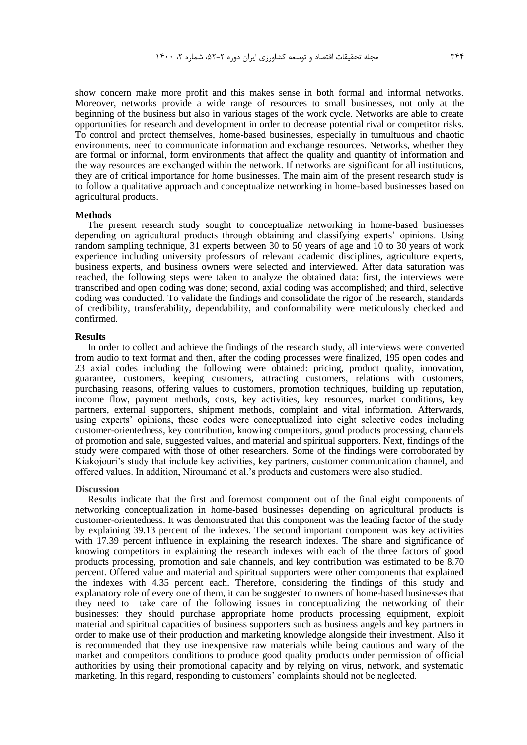show concern make more profit and this makes sense in both formal and informal networks. Moreover, networks provide a wide range of resources to small businesses, not only at the beginning of the business but also in various stages of the work cycle. Networks are able to create opportunities for research and development in order to decrease potential rival or competitor risks. To control and protect themselves, home-based businesses, especially in tumultuous and chaotic environments, need to communicate information and exchange resources. Networks, whether they are formal or informal, form environments that affect the quality and quantity of information and the way resources are exchanged within the network. If networks are significant for all institutions, they are of critical importance for home businesses. The main aim of the present research study is to follow a qualitative approach and conceptualize networking in home-based businesses based on agricultural products.

#### **Methods**

The present research study sought to conceptualize networking in home-based businesses depending on agricultural products through obtaining and classifying experts' opinions. Using random sampling technique, 31 experts between 30 to 50 years of age and 10 to 30 years of work experience including university professors of relevant academic disciplines, agriculture experts, business experts, and business owners were selected and interviewed. After data saturation was reached, the following steps were taken to analyze the obtained data: first, the interviews were transcribed and open coding was done; second, axial coding was accomplished; and third, selective coding was conducted. To validate the findings and consolidate the rigor of the research, standards of credibility, transferability, dependability, and conformability were meticulously checked and confirmed.

#### **Results**

In order to collect and achieve the findings of the research study, all interviews were converted from audio to text format and then, after the coding processes were finalized, 195 open codes and 23 axial codes including the following were obtained: pricing, product quality, innovation, guarantee, customers, keeping customers, attracting customers, relations with customers, purchasing reasons, offering values to customers, promotion techniques, building up reputation, income flow, payment methods, costs, key activities, key resources, market conditions, key partners, external supporters, shipment methods, complaint and vital information. Afterwards, using experts' opinions, these codes were conceptualized into eight selective codes including customer-orientedness, key contribution, knowing competitors, good products processing, channels of promotion and sale, suggested values, and material and spiritual supporters. Next, findings of the study were compared with those of other researchers. Some of the findings were corroborated by Kiakojouri's study that include key activities, key partners, customer communication channel, and offered values. In addition, Niroumand et al.'s products and customers were also studied.

#### **Discussion**

Results indicate that the first and foremost component out of the final eight components of networking conceptualization in home-based businesses depending on agricultural products is customer-orientedness. It was demonstrated that this component was the leading factor of the study by explaining 39.13 percent of the indexes. The second important component was key activities with 17.39 percent influence in explaining the research indexes. The share and significance of knowing competitors in explaining the research indexes with each of the three factors of good products processing, promotion and sale channels, and key contribution was estimated to be 8.70 percent. Offered value and material and spiritual supporters were other components that explained the indexes with 4.35 percent each. Therefore, considering the findings of this study and explanatory role of every one of them, it can be suggested to owners of home-based businesses that they need to take care of the following issues in conceptualizing the networking of their businesses: they should purchase appropriate home products processing equipment, exploit material and spiritual capacities of business supporters such as business angels and key partners in order to make use of their production and marketing knowledge alongside their investment. Also it is recommended that they use inexpensive raw materials while being cautious and wary of the market and competitors conditions to produce good quality products under permission of official authorities by using their promotional capacity and by relying on virus, network, and systematic marketing. In this regard, responding to customers' complaints should not be neglected.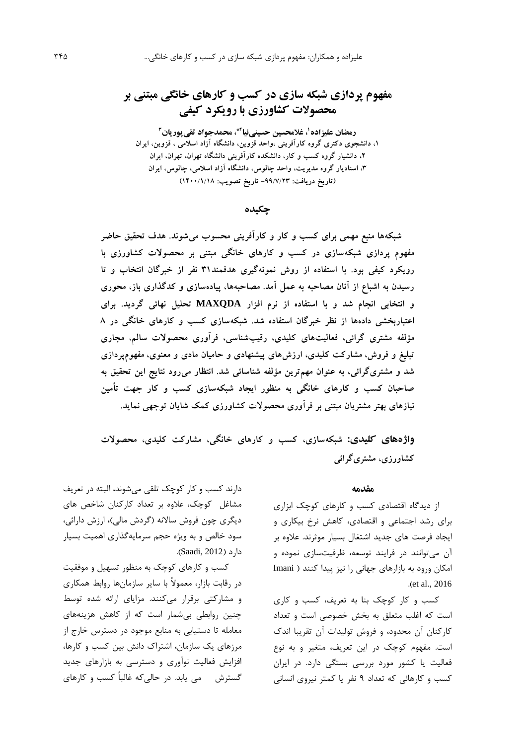# **مفهوم پردازی شبکه سازی در کسب و کارهای خانگی مبتنی بر محصوالت کشاورزی با رویکرد کیفی**

**،<sup>1</sup> غالمحسین حسینی رمضان علیزاده 3 پوریان 2\*، محمدجواد تقی نیا ،1 دانشجوی دکتری گروه کارآفرینی ،واحد قزوین، دانشگاه آزاد اسالمی ، قزوین، ایران ،2 دانشیار گروه کسب و کار، دانشکده کارآفرینی دانشگاه تهران، تهران، ایران ،3 استادیار گروه مدیریت، واحد چالوس، دانشگاه آزاد اسالمی، چالوس، ایران )تاریخ دریافت: -99/7/23 تاریخ تصویب: 1400/1/18(**

## **چکیده**

**شبکهها منبع مهمی برای کسب و کار و کارآفرینی محسوب میشوند. هدف تحقیق حاضر مفهوم پردازی شبکهسازی در کسب و کارهای خانگی مبتنی بر محصوالت کشاورزی با رویکرد کیفی بود. با استفاده از روش نمونهگیری هدفمند31 نفر از خبرگان انتخاب و تا رسیدن به اشباع از آنان مصاحبه به عمل آمد. مصاحبهها، پیادهسازی و کدگذاری باز، محوری و انتخابی انجام شد و با استفاده از نرم افزار MAXQDA تحلیل نهائی گردید. برای اعتباربخشی دادهها از نظر خبرگان استفاده شد. شبکهسازی کسب و کارهای خانگی در 8 مؤلفه مشتری گرائی، فعالیتهای کلیدی، رقیبشناسی، فرآوری محصوالت سالم، مجاری تبلیغ و فروش، مشارکت کلیدی، ارزشهای پیشنهادی و حامیان مادی و معنوی، مفهومپردازی شد و مشتریگرائی، به عنوان مهمترین مؤلفه شناسائی شد. انتظار میرود نتایج این تحقیق به صاحبان کسب و کارهای خانگی به منظور ایجاد شبکهسازی کسب و کار جهت تأمین نیازهای بهتر مشتریان مبتنی بر فرآوری محصوالت کشاورزی کمک شایان توجهی نماید.**

**واژههای کلیدی: شبکهسازی، کسب و کارهای خانگی، مشارکت کلیدی، محصوالت کشاورزی، مشتریگرائی**

#### **مقدمه**

از ديدگاه اقتصادي کسب و کارهاي کوچک ابزاري براي رشد اجتماعی و اقتصادي، کاهش نرخ بیکاري و ايجاد فرصت هاي جديد اشتغال بسیار موثرند. عالوه بر آن میتوانند در فرايند توسعه، ظرفیتسازي نموده و امکان ورود به بازارهاي جهانی را نیز پیدا کنند ) Imani .)et al., 2016

کسب و کار کوچک بنا به تعريف، کسب و کاري است که اغلب متعلق به بخش خصوصی است و تعداد کارکنان آن محدود، و فروش تولیدات آن تقريبا اندک است. مفهوم کوچک در اين تعريف، متغیر و به نوع فعالیت يا کشور مورد بررسی بستگی دارد. در ايران کسب و کارهائی که تعداد 9 نفر يا کمتر نیروي انسانی

دارند کسب و کار کوچک تلقی میشوند، البته در تعريف مشاغل کوچک، عالوه بر تعداد کارکنان شاخص هاي ديگري چون فروش سالانه (گردش مالي)، ارزش دارائي، سود خالص و به ويژه حجم سرمايهگذاري اهمیت بسیار دارد (Saadi, 2012).

کسب و کارهاي کوچک به منظور تسهیل و موفقیت در رقابت بازار، معموالً با ساير سازمانها روابط همکاري و مشارکتی برقرار میکنند. مزاياي ارائه شده توسط چنین روابطی بیشمار است که از کاهش هزينههاي معامله تا دستیابی به منابع موجود در دسترس خارج از مرزهاي يک سازمان، اشتراک دانش بین کسب و کارها، افزايش فعالیت نوآوري و دسترسی به بازارهاي جديد گسترش می يابد. در حالیکه غالباً کسب و کارهاي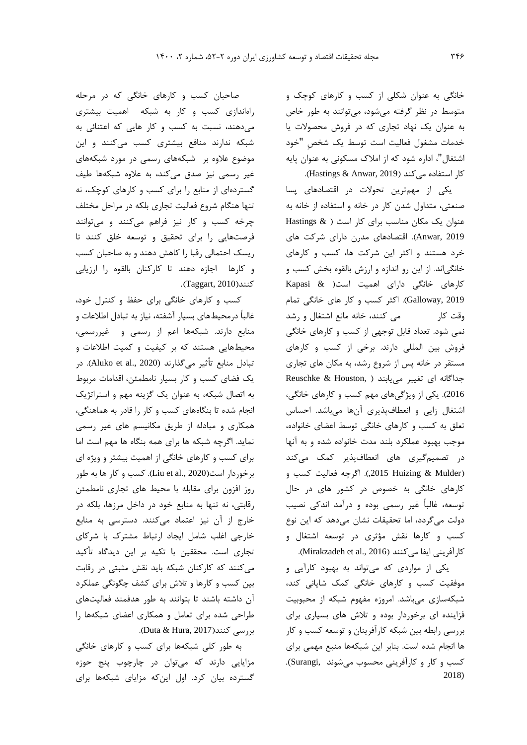خانگی به عنوان شکلی از کسب و کارهاي کوچک و متوسط در نظر گرفته میشود، میتوانند به طور خاص به عنوان يک نهاد تجاري که در فروش محصوالت يا خدمات مشغول فعالیت است توسط يک شخصِ "خود اشتغال"، اداره شود که از امالک مسکونی به عنوان پايه کار استفاده میکند (Hastings & Anwar, 2019).

يکی از مهمترين تحوالت در اقتصادهاي پسا صنعتی، متداول شدن کار در خانه و استفاده از خانه به عنوان يک مکان مناسب براي کار است ) & Hastings 2019 ,Anwar). اقتصادهاي مدرن داراي شرکت هاي خرد هستند و اکثر اين شرکت ها، کسب و کارهاي خانگیاند. از اين رو اندازه و ارزش بالقوه بخش کسب و کارهاي خانگی داراي اهمیت است) & Kapasi 2019 ,Galloway). اکثر کسب و کار هاي خانگی تمام وقت کار می کنند، خانه مانع اشتغال و رشد نمی شود. تعداد قابل توجهی از کسب و کارهاي خانگی فروش بین المللی دارند. برخی از کسب و کارهاي مستقر در خانه پس از شروع رشد، به مکان هاي تجاري جداگانه ای تغییر مییابند ( ,Reuschke & Houston 2016(. يکی از ويژگیهاي مهم کسب و کارهاي خانگی، اشتغال زايی و انعطافپذيري آنها میباشد. احساس تعلق به کسب و کارهاي خانگی توسط اعضاي خانواده، موجب بهبود عملکرد بلند مدت خانواده شده و به آنها در تصمیمگیري هاي انعطافپذير کمک میکند )Mulder & Huizing ,2015). اگرچه فعالیت کسب و کارهاي خانگی به خصوص در کشور هاي در حال توسعه، غالباً غیر رسمی بوده و درآمد اندکی نصیب دولت میگردد، اما تحقیقات نشان میدهد که اين نوع کسب و کارها نقش مؤثري در توسعه اشتغال و كارآفريني ايفا ميكنند (Mirakzadeh et al., 2016).

يکی از مواردي که میتواند به بهبود کارآيی و موفقیت کسب و کارهاي خانگی کمک شايانی کند، شبکهسازي میباشد. امروزه مفهوم شبکه از محبوبیت فزاينده اي برخوردار بوده و تالش هاي بسیاري براي بررسی رابطه بین شبکه کارآفرينان و توسعه کسب و کار ها انجام شده است. بنابر اين شبکهها منبع مهمی براي کسب و کار و کارآفرينی محسوب میشوند ,Surangi(. 2018)

صاحبان کسب و کارهاي خانگی که در مرحله راهاندازي کسب و کار به شبکه اهمیت بیشتري میدهند، نسبت به کسب و کار هايی که اعتنائی به شبکه ندارند منافع بیشتري کسب میکنند و اين موضوع عالوه بر شبکههاي رسمی در مورد شبکههاي غیر رسمی نیز صدق میکند، به عالوه شبکهها طیف گستردهاي از منابع را براي کسب و کارهاي کوچک، نه تنها هنگام شروع فعالیت تجاري بلکه در مراحل مختلف چرخه کسب و کار نیز فراهم میکنند و میتوانند فرصتهايی را براي تحقیق و توسعه خلق کنند تا ريسک احتمالی رقبا را کاهش دهند و به صاحبان کسب و کارها اجازه دهند تا کارکنان بالقوه را ارزيابی کنند)2010 ,Taggart).

کسب و کارهاي خانگی براي حفظ و کنترل خود، غالباً درمحیطهاي بسیار آشفته، نیاز به تبادل اطالعات و منابع دارند. شبکهها اعم از رسمی و غیررسمی، محیطهايی هستند که بر کیفیت و کمیت اطالعات و تبادل منابع تأثیر میگذارند (2020 .,al et Aluko). در يک فضاي کسب و کار بسیار نامطمئن، اقدامات مربوط به اتصال شبکه، به عنوان يک گزينه مهم و استراتژيک انجام شده تا بنگاههاي کسب و کار را قادر به هماهنگی، همکاري و مبادله از طريق مکانیسم هاي غیر رسمی نمايد. اگرچه شبکه ها براي همه بنگاه ها مهم است اما براي کسب و کارهاي خانگی از اهمیت بیشتر و ويژه اي برخوردار است)2020 .,al et Liu). کسب و کار ها به طور روز افزون براي مقابله با محیط هاي تجاري نامطمئن رقابتی، نه تنها به منابع خود در داخل مرزها، بلکه در خارج از آن نیز اعتماد میکنند. دسترسی به منابع خارجی اغلب شامل ايجاد ارتباط مشترک با شرکاي تجاري است. محققین با تکیه بر اين ديدگاه تأکید میکنند که کارکنان شبکه بايد نقش مثبتی در رقابت بین کسب و کارها و تالش براي کشف چگونگی عملکرد آن داشته باشند تا بتوانند به طور هدفمند فعالیتهاي طراحی شده براي تعامل و همکاري اعضاي شبکهها را بررسی کنند(Duta & Hura, 2017).

به طور کلی شبکهها براي کسب و کارهاي خانگی مزايايی دارند که میتوان در چارچوب پنج حوزه گسترده بیان کرد. اول اينکه مزاياي شبکهها براي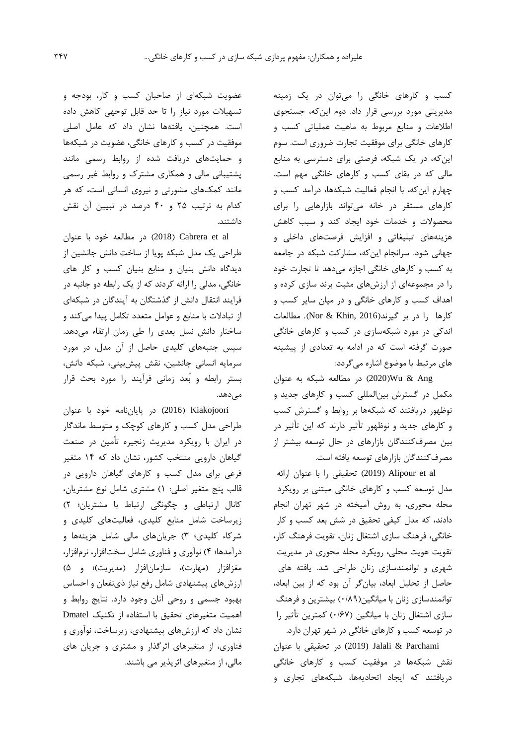کسب و کارهاي خانگی را میتوان در يک زمینه مديريتی مورد بررسی قرار داد. دوم اينکه، جستجوي اطالعات و منابع مربوط به ماهیت عملیاتی کسب و کارهاي خانگی براي موفقیت تجارت ضروري است. سوم اينکه، در يک شبکه، فرصتی براي دسترسی به منابع مالی که در بقاي کسب و کارهاي خانگی مهم است. چهارم اينکه، با انجام فعالیت شبکهها، درآمد کسب و کارهاي مستقر در خانه میتواند بازارهايی را براي محصوالت و خدمات خود ايجاد کند و سبب کاهش هزينههاي تبلیغاتی و افزايش فرصتهاي داخلی و جهانی شود. سرانجام اينکه، مشارکت شبکه در جامعه به کسب و کارهاي خانگی اجازه میدهد تا تجارت خود را در مجموعهاي از ارزشهاي مثبت برند سازي کرده و اهداف کسب و کارهاي خانگی و در میان ساير کسب و کارها را در بر گیرند)2016 ,Khin & Nor). مطالعات اندکی در مورد شبکهسازي در کسب و کارهاي خانگی صورت گرفته است که در ادامه به تعدادي از پیشینه هاي مرتبط با موضوع اشاره میگردد:

Ang & Wu(2020 )در مطالعه شبکه به عنوان مکمل در گسترش بینالمللی کسب و کارهاي جديد و نوظهور دريافتند که شبکهها بر روابط و گسترش کسب و کارهاي جديد و نوظهور تأثیر دارند که اين تأثیر در بین مصرفکنندگان بازارهاي در حال توسعه بیشتر از مصرفکنندگان بازارهاي توسعه يافته است.

al et Alipour( 2019 )تحقیقی را با عنوان ارائه مدل توسعه کسب و کارهاي خانگی مبتنی بر رويکرد محله محوري، به روش آمیخته در شهر تهران انجام دادند، که مدل کیفی تحقیق در شش بعد کسب و کار خانگی، فرهنگ سازي اشتغال زنان، تقويت فرهنگ کار، تقويت هويت محلی، رويکرد محله محوري در مديريت شهري و توانمندسازي زنان طراحی شد. يافته هاي حاصل از تحلیل ابعاد، بیانگر آن بود که از بین ابعاد، توانمندسازي زنان با ميانگين(۰/۸۹) بیشترين و فرهنگ سازي اشتغال زنان با میانگین )0/67( کمترين تأثیر را در توسعه کسب و کارهاي خانگی در شهر تهران دارد.

Parchami & Jalali) 2019 (در تحقیقی با عنوان نقش شبکهها در موفقیت کسب و کارهاي خانگی دريافتند که ايجاد اتحاديهها، شبکههاي تجاري و

عضويت شبکهاي از صاحبان کسب و کار، بودجه و تسهیالت مورد نیاز را تا حد قابل توحهی کاهش داده است. همچنین، يافتهها نشان داد که عامل اصلی موفقیت در کسب و کارهاي خانگی، عضويت در شبکهها و حمايتهاي دريافت شده از روابط رسمی مانند پشتیبانی مالی و همکاري مشترک و روابط غیر رسمی مانند کمکهاي مشورتی و نیروي انسانی است، که هر کدام به ترتیب 25 و 40 درصد در تبیین آن نقش داشتند.

در مطالعه خود با عنوان (2018)  $\sim$  (2018) Cabrera et al طراحی يک مدل شبکه پويا از ساخت دانش جانشین از ديدگاه دانش بنیان و منابع بنیان کسب و کار هاي خانگی، مدلی را ارائه کردند که از يک رابطه دو جانبه در فرايند انتقال دانش از گذشتگان به آيندگان در شبکهاي از تبادالت با منابع و عوامل متعدد تکامل پیدا میکند و ساختار دانش نسل بعدي را طی زمان ارتقاء میدهد. سپس جنبههاي کلیدي حاصل از آن مدل، در مورد سرمايه انسانی جانشین، نقش پیشبینی، شبکه دانش، بستر رابطه و بُعد زمانی فرآيند را مورد بحث قرار میدهد.

Kiakojoori( 2016 )در پاياننامه خود با عنوان طراحی مدل کسب و کارهاي کوچک و متوسط ماندگار در ايران با رويکرد مديريت زنجیره تأمین در صنعت گیاهان دارويی منتخب کشور، نشان داد که 14 متغیر فرعی براي مدل کسب و کارهاي گیاهان دارويی در قالب پنج متغیر اصلی: 1( مشتري شامل نوع مشتريان، کانال ارتباطی و چگونگی ارتباط با مشتريان؛ 2( زيرساخت شامل منابع کلیدي، فعالیتهاي کلیدي و شرکاء کلیدي؛ 3( جريانهاي مالی شامل هزينهها و درآمدها؛ 4( نوآوري و فناوري شامل سختافزار، نرمافزار، مغزافزار (مهارت)، سازمانافزار (مديريت)؛ و ۵) ارزشهاي پیشنهادي شامل رفع نیاز ذينفعان و احساس بهبود جسمی و روحی آنان وجود دارد. نتايج روابط و اهمیت متغیرهاي تحقیق با استفاده از تکنیک Dmatel نشان داد که ارزشهاي پیشنهادي، زيرساخت، نوآوري و فناوري، از متغیرهاي اثرگذار و مشتري و جريان هاي مالی، از متغیرهاي اثرپذير می باشند.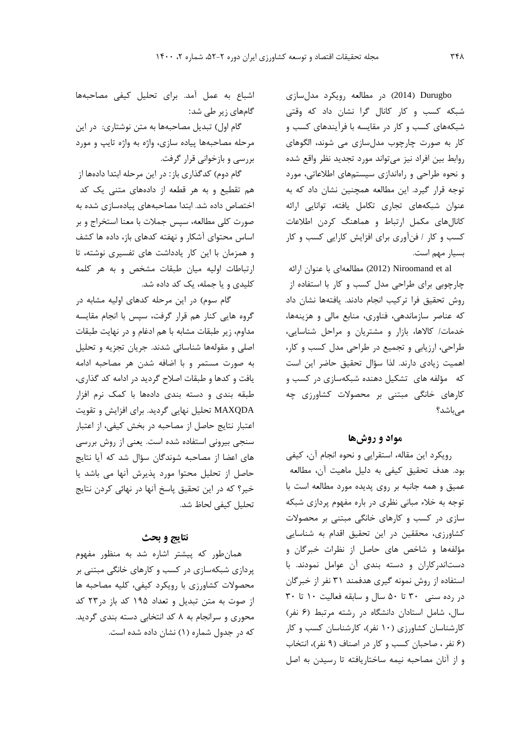Durugbo( 2014 )در مطالعه رويکرد مدلسازي شبکه کسب و کار کانال گرا نشان داد که وقتی شبکههاي کسب و کار در مقايسه با فرآيندهاي کسب و کار به صورت چارچوب مدلسازي می شوند، الگوهاي روابط بین افراد نیز میتواند مورد تجديد نظر واقع شده و نحوه طراحی و راهاندازي سیستمهاي اطالعاتی، مورد توجه قرار گیرد. اين مطالعه همچنین نشان داد که به عنوان شبکههاي تجاري تکامل يافته، توانايی ارائه کانالهاي مکمل ارتباط و هماهنگ کردن اطالعات کسب و کار / فنآوري براي افزايش کارايی کسب و کار بسیار مهم است.

al et Niroomand( 2012 )مطالعهاي با عنوان ارائه چارچوبی براي طراحی مدل کسب و کار با استفاده از روش تحقیق فرا ترکیب انجام دادند. يافتهها نشان داد که عناصر سازماندهی، فناوري، منابع مالی و هزينهها، خدمات/ کاالها، بازار و مشتريان و مراحل شناسايی، طراحی، ارزيابی و تجمیع در طراحی مدل کسب و کار، اهمیت زيادي دارند. لذا سؤال تحقیق حاضر اين است که مؤلفه هاي تشکیل دهنده شبکهسازي در کسب و کارهاي خانگی مبتنی بر محصوالت کشاورزي چه می باشد؟

# **مواد و روشها**

رويکرد اين مقاله، استقرايی و نحوه انجام آن، کیفی بود. هدف تحقیق کیفی به دلیل ماهیت آن، مطالعه عمیق و همه جانبه بر روي پديده مورد مطالعه است با توجه به خالء مبانی نظري در باره مفهوم پردازي شبکه سازي در کسب و کارهاي خانگی مبتنی بر محصوالت کشاورزي، محققین در اين تحقیق اقدام به شناسايی مؤلفهها و شاخص هاي حاصل از نظرات خبرگان و دستاندرکاران و دسته بندي آن عوامل نمودند. با استفاده از روش نمونه گیري هدفمند 31 نفر از خبرگان در رده سنی 30 تا 50 سال و سابقه فعالیت 10 تا 30 سال، شامل استادان دانشگاه در رشته مرتبط )6 نفر( کارشناسان کشاورزي )10 نفر(، کارشناسان کسب و کار )6 نفر ، صاحبان کسب و کار در اصناف )9 نفر(، انتخاب و از آنان مصاحبه نیمه ساختاريافته تا رسیدن به اصل

اشباع به عمل آمد. براي تحلیل کیفی مصاحبهها گامهاي زير طی شد:

گام اول) تبديل مصاحبهها به متن نوشتاري: در اين مرحله مصاحبهها پیاده سازي، واژه به واژه تايپ و مورد بررسی و بازخوانی قرار گرفت.

گام دوم) کدگذاري باز: در اين مرحله ابتدا دادهها از هم تقطیع و به هر قطعه از دادههاي متنی يک کد اختصاص داده شد. ابتدا مصاحبههاي پیادهسازي شده به صورت کلی مطالعه، سپس جمالت با معنا استخراج و بر اساس محتواي آشکار و نهفته کدهاي باز، داده ها کشف و همزمان با اين کار يادداشت هاي تفسیري نوشته، تا ارتباطات اولیه میان طبقات مشخص و به هر کلمه کلیدي و يا جمله، يک کد داده شد.

گام سوم) در اين مرحله کدهاي اوليه مشابه در گروه هايی کنار هم قرار گرفت، سپس با انجام مقايسه مداوم، زير طبقات مشابه با هم ادغام و در نهايت طبقات اصلی و مقولهها شناسائی شدند. جريان تجزيه و تحلیل به صورت مستمر و با اضافه شدن هر مصاحبه ادامه يافت و کدها و طبقات اصالح گرديد در ادامه کد گذاري، طبقه بندي و دسته بندي دادهها با کمک نرم افزار MAXQDA تحلیل نهايی گرديد. براي افزايش و تقويت اعتبار نتايج حاصل از مصاحبه در بخش کیفی، از اعتبار سنجی بیرونی استفاده شده است. يعنی از روش بررسی هاي اعضا از مصاحبه شوندگان سؤال شد که آيا نتايج حاصل از تحلیل محتوا مورد پذيرش آنها می باشد يا خیر؟ که در اين تحقیق پاسخ آنها در نهائی کردن نتايج تحلیل کیفی لحاظ شد.

## **نتایج و بحث**

همانطور که پیشتر اشاره شد به منظور مفهوم پردازي شبکهسازي در کسب و کارهاي خانگی مبتنی بر محصوالت کشاورزي با رويکرد کیفی، کلیه مصاحبه ها از صوت به متن تبديل و تعداد 195 کد باز در23 کد محوري و سرانجام به 8 کد انتخابی دسته بندي گرديد. که در جدول شماره (۱) نشان داده شده است.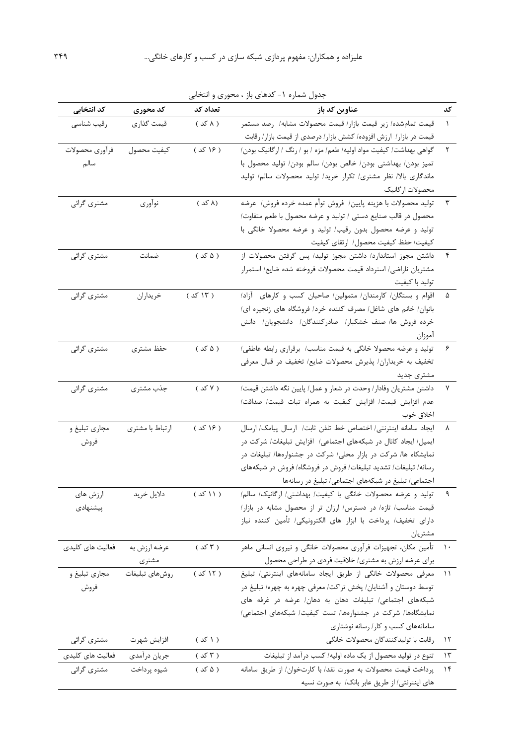| کد انتخابی       | کد محوری        | تعداد کد  | عناوين كد باز                                                       | کد            |
|------------------|-----------------|-----------|---------------------------------------------------------------------|---------------|
| رقيب شناسى       | قيمت گذاري      | ( ۸ کد )  | قیمت تمامشده/ زیر قیمت بازار/ قیمت محصولات مشابه/ رصد مستمر         |               |
|                  |                 |           | قیمت در بازار/ ارزش افزوده/ کشش بازار/ درصدی از قیمت بازار/ رقابت   |               |
| فرأوري محصولات   | كيفيت محصول     | ( ۱۶ کد ) | گواهی بهداشت/ کیفیت مواد اولیه/ طعم/ مزه / بو / رنگ / ارگانیک بودن/ |               |
| سالم             |                 |           | تميز بودن/ بهداشتى بودن/ خالص بودن/ سالم بودن/ توليد محصول با       |               |
|                  |                 |           | ماندگاری بالا/ نظر مشتری/ تکرار خرید/ تولید محصولات سالم/ تولید     |               |
|                  |                 |           | محصولات ارگانیک                                                     |               |
| مشترى گرائى      | نوآوري          | (۸ کد )   | توليد محصولات با هزينه پايين/ فروش توأم عمده خرده فروش/ عرضه        |               |
|                  |                 |           | محصول در قالب صنايع دستى / توليد و عرضه محصول با طعم متفاوت/        |               |
|                  |                 |           | تولید و عرضه محصول بدون رقیب/ تولید و عرضه محصولا خانگی با          |               |
|                  |                 |           | كيفيت/ حفظ كيفيت محصول/ ارتقاى كيفيت                                |               |
| مشترى گرائى      | ضمانت           | ( ۵ کد )  | داشتن مجوز استاندارد/ داشتن مجوز تولید/ پس گرفتن محصولات از         |               |
|                  |                 |           | مشتريان ناراضي/ استرداد قيمت محصولات فروخته شده ضايع/ استمرار       |               |
|                  |                 |           | توليد با كيفيت                                                      |               |
| مشتري گرائي      | خريداران        | ( ۱۳ کد ) | اقوام و بستگان/ كارمندان/ متمولين/ صاحبان كسب و كارهاى آزاد/        | ۵             |
|                  |                 |           | بانوان/ خانم های شاغل/ مصرف کننده خرد/ فروشگاه های زنجیره ای/       |               |
|                  |                 |           | خرده فروش ها/ صنف خشكبار/ صادركنندگان/ دانشجويان/ دانش              |               |
|                  |                 |           | اموزان                                                              |               |
| مشترى گرائي      | حفظ مشترى       | ( ۵ کد )  | تولید و عرضه محصولا خانگی به قیمت مناسب/ برقراری رابطه عاطفی/       | ۶             |
|                  |                 |           | تخفیف به خریداران/ پذیرش محصولات ضایع/ تخفیف در قبال معرفی          |               |
|                  |                 |           | مشترى جديد                                                          |               |
| مشترى گرائى      | جذب مشترى       | ( ۷ کد )  | داشتن مشتريان وفادار/ وحدت در شعار و عمل/ پايين نگه داشتن قيمت/     |               |
|                  |                 |           | عدم افزايش قيمت/ افزايش كيفيت به همراه تبات قيمت/ صداقت/            |               |
|                  |                 |           | اخلاق خوب                                                           |               |
| مجاري تبليغ و    | ارتباط با مشترى | ( ۱۶ کد ) | ايجاد سامانه اينترنتي/ اختصاص خط تلفن ثابت/ ارسال پيامك/ ارسال      |               |
| فروش             |                 |           | ایمیل/ ایجاد کانال در شبکههای اجتماعی/ افزایش تبلیغات/ شرکت در      |               |
|                  |                 |           | نمایشکاه ها/ شرکت در بازار محلی/ شرکت در جشنوارهها/ تبلیغات در      |               |
|                  |                 |           | رسانه/ تبلیغات/ تشدید تبلیغات/ فروش در فروشگاه/ فروش در شبکههای     |               |
|                  |                 |           | اجتماعی/ تبلیغ در شبکههای اجتماعی/ تبلیغ در رسانهها                 |               |
| ارزش های         | دلايل خريد      | ( ۱۱ کد ) | تولید و عرضه محصولات خانگی با کیفیت/ بهداشتی/ ارگانیک/ سالم/        |               |
| پیشنهادی         |                 |           | قیمت مناسب/ تازه/ در دسترس/ ارزان تر از محصول مشابه در بازار/       |               |
|                  |                 |           | دارای تخفیف/ پرداخت با ابزار های الکترونیکی/ تأمین کننده نیاز       |               |
|                  |                 |           | مشتريان                                                             |               |
| فعالیت های کلیدی | عرضه ارزش به    | ( ۳ کد )  | تأمین مکان، تجهیزات فرآوری محصولات خانگی و نیروی انسانی ماهر        | $\lambda$     |
|                  | مشترى           |           | برای عرضه ارزش به مشتری/ خلاقیت فردی در طراحی محصول                 |               |
| مجاري تبليغ و    | روشهاى تبليغات  | ( ۱۲ کد ) | معرفی محصولات خانگی از طریق ایجاد سامانههای اینترنتی/ تبلیغ         | $\rightarrow$ |
| فروش             |                 |           | توسط دوستان و آشنایان/ پخش تراکت/ معرفی چهره به چهره/ تبلیغ در      |               |
|                  |                 |           | شبکههای اجتماعی/ تبلیغات دهان به دهان/ عرضه در غرفه های             |               |
|                  |                 |           | نمایشگاهها/ شرکت در جشنوارهها/ تست کیفیت/ شبکههای اجتماعی/          |               |
|                  |                 |           | سامانههای کسب و کار/ رسانه نوشتاری                                  |               |
| مشتری گرائی      | افزايش شهرت     | ( ۱ کد )  | رقابت با توليدكنندگان محصولات خانگى                                 | ۱۲            |
| فعالیت های کلیدی | جريان درآمدي    | ( ۳ کد )  | تنوع در تولید محصول از یک ماده اولیه/ کسب درآمد از تبلیغات          | ۱۳            |
| مشتري گرائي      | شيوه پرداخت     | ( ۵ کد )  | پرداخت قیمت محصولات به صورت نقد/ با كارتخوان/ از طريق سامانه        | ۱۴            |
|                  |                 |           | های اینترنتی/ از طریق عابر بانک/ به صورت نسیه                       |               |

جدول شماره ۱- کدهای باز ، محوری و انتخابی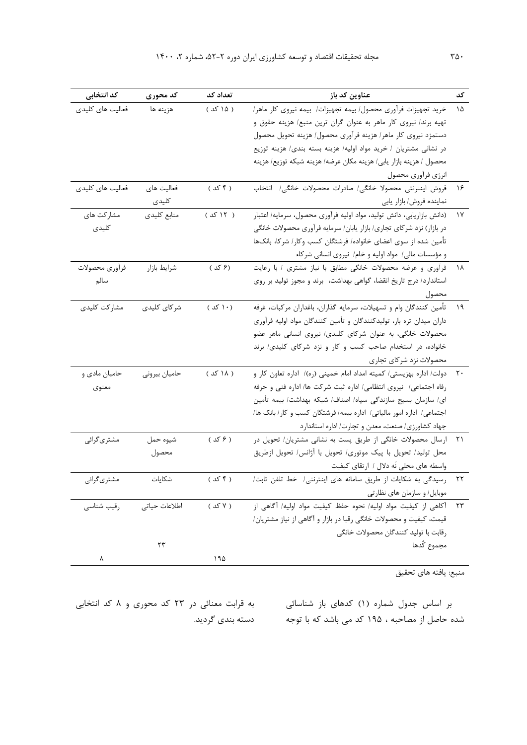| کد انتخابی       | کد محوری      | تعداد کد             | عناوین کد باز                                                        | کد           |
|------------------|---------------|----------------------|----------------------------------------------------------------------|--------------|
| فعالیت های کلیدی | هزينه ها      | ( ۱۵ کد )            | خرید تجهیزات فرآوری محصول/ بیمه تجهیزات/ بیمه نیروی کار ماهر/        | ۱۵           |
|                  |               |                      | تهیه برند/ نیروی کار ماهر به عنوان گران ترین منبع/ هزینه حقوق و      |              |
|                  |               |                      | دستمزد نيروى كار ماهر/ هزينه فرأورى محصول/ هزينه تحويل محصول         |              |
|                  |               |                      | در نشانی مشتریان / خرید مواد اولیه/ هزینه بسته بندی/ هزینه توزیع     |              |
|                  |               |                      | محصول / هزينه بازار يابي/ هزينه مكان عرضه/ هزينه شبكه توزيع/ هزينه   |              |
|                  |               |                      | انرژى فرأورى محصول                                                   |              |
| فعالیت های کلیدی | فعاليت هاى    | ( ۴ کد )             | فروش اينترنتي محصولا خانگي/ صادرات محصولات خانگي/ انتخاب             | ۱۶           |
|                  | كليدى         |                      | نماينده فروش/ بازار يابي                                             |              |
| مشاركت هاى       | منابع كليدى   | ( ۱۲ کد )            | (دانش بازاریابی، دانش تولید، مواد اولیه فرآوری محصول، سرمایه/ اعتبار | ١Y           |
| كليدى            |               |                      | در بازار) نزد شركاي تجاري/ بازار يابان/ سرمايه فرأوري محصولات خانگي  |              |
|                  |               |                      | تأمين شده از سوى اعضاى خانواده/ فرشتگان كسب وكار/ شركا، بانكـها      |              |
|                  |               |                      | و مؤسسات مالی/ مواد اولیه و خام/ نیروی انسانی شرکاء                  |              |
| فرأوري محصولات   | شرايط بازار   | (۶ کد )              | فرآوری و عرضه محصولات خانگی مطابق با نیاز مشتری / با رعایت           | 1 V V        |
| سالم             |               |                      | استاندارد/ درج تاریخ انقضا، گواهی بهداشت، برند و مجوز تولید بر روی   |              |
|                  |               |                      | محصول                                                                |              |
| مشاركت كليدى     | شركاي كليدى   | $( \sqrt{ \cdot } )$ | تأمين كنندگان وام و تسهيلات، سرمايه گذاران، باغداران مركبات، غرفه    | $\eta$       |
|                  |               |                      | داران میدان تره بار، تولیدکنندگان و تأمین کنندگان مواد اولیه فرآوری  |              |
|                  |               |                      | محصولات خانگی، به عنوان شرکای کلیدی/ نیروی انسانی ماهر عضو           |              |
|                  |               |                      | خانواده، در استخدام صاحب کسب و کار و نزد شرکای کلیدی/ برند           |              |
|                  |               |                      | محصولات نزد شركاي تجاري                                              |              |
| حامیان مادی و    | حاميان بيروني | ( ۱۸ کد )            | دولت/ اداره بهزیستی/ کمیته امداد امام خمینی (ره)/ اداره تعاون کار و  |              |
| معنوى            |               |                      | رفاه اجتماعی/ نیروی انتظامی/ اداره ثبت شرکت ها/ اداره فنی و حرفه     |              |
|                  |               |                      | ای/ سازمان بسیج سازندگی سپاه/ اصناف/ شبکه بهداشت/ بیمه تأمین         |              |
|                  |               |                      | اجتماعی/ اداره امور مالیاتی/ اداره بیمه/ فرشتگان کسب و کار/ بانک ها/ |              |
|                  |               |                      | جهاد کشاورزی/ صنعت، معدن و تجارت/ اداره استاندارد                    |              |
| مشتری گرائی      | شيوه حمل      | ( ۶ کد )             | ارسال محصولات خانگی از طریق پست به نشانی مشتریان/ تحویل در           | $\uparrow$ ) |
|                  | محصول         |                      | محل تولید/ تحویل با پیک موتوری/ تحویل با آژانس/ تحویل ازطریق         |              |
|                  |               |                      | واسطه های محلی نَه دلال / ارتقای کیفیت                               |              |
| مشترىگرائي       | شكاىات        | ( ۴ کد )             | رسیدگی به شکایات از طریق سامانه های اینترنتی / خط تلفن ثابت/         | ۲۲           |
|                  |               |                      | موبایل/ و سازمان های نظارتی                                          |              |
| رقيب شناسى       | اطلاعات حياتى | ( ۷ کد )             | ٢٣ أكاهي از كيفيت مواد اوليه/ نحوه حفظ كيفيت مواد اوليه/ أكاهي از    |              |
|                  |               |                      | قیمت، کیفیت و محصولات خانگی رقبا در بازار و آگاهی از نیاز مشتریان/   |              |
|                  |               |                      | رقابت با توليد كنندگان محصولات خانگى                                 |              |
|                  | ۲۳            |                      | مجموع كُدها                                                          |              |
| ٨                |               | ۱۹۵                  |                                                                      |              |
|                  |               |                      | منبع: يافته هاي تحقيق                                                |              |

بر اساس جدول شماره (۱) کدهای باز شناسائی به قرابت معنائی در ۲۳ کد محوری و ۸ کد انتخابی شده حاصل از مصاحبه ، 195 کد می باشد که با توجه دسته بندي گرديد.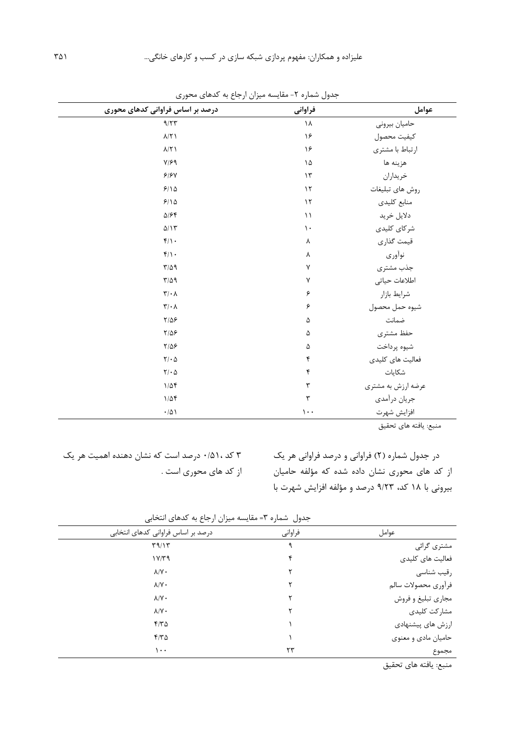| درصد بر اساس فراوانی کدهای محوری                      | فراواني              | عوامل              |
|-------------------------------------------------------|----------------------|--------------------|
| 9/77                                                  | ١٨                   | حاميان بيروني      |
| $\lambda/\Upsilon$                                    | ۱۶                   | كيفيت محصول        |
| $\lambda/\Upsilon$ )                                  | ۱۶                   | ارتباط با مشترى    |
| $Y/\mathcal{F}$ 9                                     | ۱۵                   | هزينه ها           |
| $\mathcal{S}/\mathcal{S}$ Y                           | $\gamma$             | خريداران           |
| $9/10$                                                | $\gamma$             | روش هاى تبليغات    |
| 9/10                                                  | $\gamma$             | منابع كليدى        |
| $\Delta/\mathcal{F}$                                  | $\setminus$          | دلايل خريد         |
| $\Delta/\Upsilon$                                     | $\backslash$ .       | شركاي كليدي        |
| $f/\rightarrow$                                       | γ                    | قيمت گذاري         |
| $f/\cdot$                                             | γ                    | نوأورى             |
| $\Gamma/\Delta$ 9                                     | γ                    | جذب مشترى          |
| $T/\Delta$ 9                                          | γ                    | اطلاعات حياتى      |
| $\mathbf{r}/\cdot\mathbf{v}$                          | ۶                    | شرايط بازار        |
| $\mathbf{Y}/\boldsymbol{\cdot}$ $\boldsymbol{\wedge}$ | ۶                    | شيوه حمل محصول     |
| $Y/\Delta P$                                          | ۵                    | ضمانت              |
| $Y/\Delta P$                                          | ۵                    | حفظ مشترى          |
| $Y/\Delta P$                                          | $\Delta$             | شيوه پرداخت        |
| $\mathbf{Y}/\boldsymbol{\cdot} \Delta$                | ۴                    | فعالیت های کلیدی   |
| $Y/\cdot \Delta$                                      | $\pmb{\mathsf{f}}$   | شكايات             |
| $1/\Delta f$                                          | ٣                    | عرضه ارزش به مشتري |
| $1/\Delta f$                                          | $\mathbf{\breve{r}}$ | جريان درأمدي       |
| $\cdot/\Delta$                                        | $\mathcal{L}$ .      | افزايش شهرت        |

جدول شماره -2 مقايسه میزان ارجاع به کدهاي محوري

منبع: يافته هاي تحقیق

در جدول شماره )2( فراوانی و درصد فراوانی هر يک از کد هاي محوري نشان داده شده که مؤلفه حامیان بیرونی با 18 کد، 9/23 درصد و مؤلفه افزايش شهرت با

3 کد 0/51، درصد است که نشان دهنده اهمیت هر يک از کد هاي محوري است .

جدول شماره 3= مقايسه میزان ارجاع به کدهاي انتخابی

| درصد بر اساس فراوانی کدهای انتخابی | فراواني | عوامل               |  |  |
|------------------------------------|---------|---------------------|--|--|
| T9/17                              |         | مشتری گرائی         |  |  |
| $1 \text{Y/T} 9$                   |         | فعالیت های کلیدی    |  |  |
| $\lambda/\Upsilon$ .               |         | رقيب شناسى          |  |  |
| $\lambda/\Upsilon$                 |         | فرأورى محصولات سالم |  |  |
| $\lambda/\Upsilon$                 |         | مجاري تبليغ و فروش  |  |  |
| $\lambda/\Upsilon$                 |         | مشاركت كليدى        |  |  |
| $F/T\Delta$                        |         | ارزش های پیشنهادی   |  |  |
| 470                                |         | حامیان مادی و معنوی |  |  |
| ۱۰۰                                | ٢٣      | مجموع               |  |  |

منبع: يافته هاي تحقیق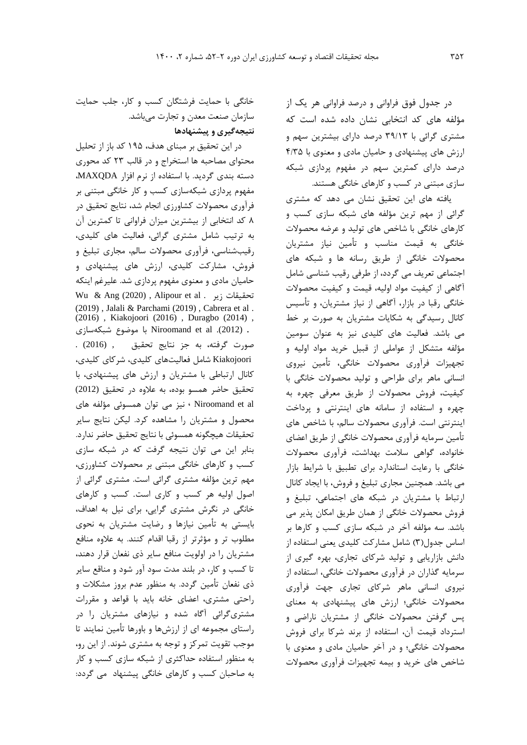در جدول فوق فراوانی و درصد فراوانی هر يک از مؤلفه هاي کد انتخابی نشان داده شده است که مشتري گرائی با 39/13 درصد داراي بیشترين سهم و ارزش هاي پیشنهادي و حامیان مادي و معنوي با 4/35 درصد داراي کمترين سهم در مفهوم پردازي شبکه سازي مبتنی در کسب و کارهاي خانگی هستند.

يافته هاي اين تحقیق نشان می دهد که مشتري گرائی از مهم ترين مؤلفه هاي شبکه سازي کسب و کارهاي خانگی با شاخص هاي تولید و عرضه محصوالت خانگی به قیمت مناسب و تأمین نیاز مشتريان محصوالت خانگی از طريق رسانه ها و شبکه هاي اجتماعی تعريف می گردد، از طرفی رقیب شناسی شامل آگاهی از کیفیت مواد اولیه، قیمت و کیفیت محصوالت خانگی رقبا در بازار، آگاهی از نیاز مشتريان، و تأسیس کانال رسیدگی به شکايات مشتريان به صورت بر خط می باشد. فعالیت هاي کلیدي نیز به عنوان سومین مؤلفه متشکل از عواملی از قبیل خريد مواد اولیه و تجهیزات فرآوري محصوالت خانگی، تأمین نیروي انسانی ماهر براي طراحی و تولید محصوالت خانگی با کیفیت، فروش محصوالت از طريق معرفی چهره به چهره و استفاده از سامانه هاي اينترنتی و پرداخت اينترنتی است. فرآوري محصوالت سالم، با شاخص هاي تأمین سرمايه فرآوري محصوالت خانگی از طريق اعضاي خانواده، گواهی سالمت بهداشت، فرآوري محصوالت خانگی با رعايت استاندارد براي تطبیق با شرايط بازار می باشد. همچنین مجاري تبلیغ و فروش، با ايجاد کانال ارتباط با مشتريان در شبکه هاي اجتماعی، تبلیغ و فروش محصوالت خانگی از همان طريق امکان پذير می باشد. سه مؤلفه آخر در شبکه سازي کسب و کارها بر اساس جدول)3( شامل مشارکت کلیدي يعنی استفاده از دانش بازاريابی و تولید شرکاي تجاري، بهره گیري از سرمايه گذاران در فرآوري محصوالت خانگی، استفاده از نیروي انسانی ماهر شرکاي تجاري جهت فرآوري محصوالت خانگی؛ ارزش هاي پیشنهادي به معناي پس گرفتن محصوالت خانگی از مشتريان ناراضی و استرداد قیمت آن، استفاده از برند شرکا براي فروش محصوالت خانگی؛ و در آخر حامیان مادي و معنوي با شاخص هاي خريد و بیمه تجهیزات فرآوري محصوالت

خانگی با حمايت فرشتگان کسب و کار، جلب حمايت سازمان صنعت معدن و تجارت میباشد. **نتيجهگيري و پيشنهادها**

در اين تحقیق بر مبناي هدف، 195 کد باز از تحلیل محتواي مصاحبه ها استخراج و در قالب 23 کد محوري دسته بندي گرديد. با استفاده از نرم افزار MAXQDA، مفهوم پردازي شبکهسازي کسب و کار خانگی مبتنی بر فرآوري محصوالت کشاورزي انجام شد، نتايج تحقیق در 8 کد انتخابی از بیشترين میزان فراوانی تا کمترين آن به ترتیب شامل مشتري گرائی، فعالیت هاي کلیدي، رقیبشناسی، فرآوري محصوالت سالم، مجاري تبلیغ و فروش، مشارکت کلیدي، ارزش هاي پیشنهادي و حامیان مادي و معنوي مفهوم پردازي شد. علیرغم اينکه Wu & Ang (2020) , Alipour et al . زير تحقیقات (2019) , Jalali & Parchami (2019) , Cabrera et al . (2016) , Kiakojoori (2016) , Duragbo (2014) , . (2012). al et Niroomand با موضوع شبکهسازي صورت گرفته، به جز نتايج تحقیق , (2016) . Kiakojoori شامل فعالیتهاي کلیدي، شرکاي کلیدي، کانال ارتباطی با مشتريان و ارزش هاي پیشنهادي، با تحقیق حاضر همسو بوده، به عالوه در تحقیق (2012) al et Niroomand ، نیز می توان همسوئی مؤلفه هاي محصول و مشتريان را مشاهده کرد. لیکن نتايج ساير تحقیقات هیچگونه همسوئی با نتايج تحقیق حاضر ندارد. بنابر اين می توان نتیجه گرفت که در شبکه سازي کسب و کارهاي خانگی مبتنی بر محصوالت کشاورزي، مهم ترين مؤلفه مشتري گرائی است. مشتري گرائی از اصول اولیه هر کسب و کاري است. کسب و کارهاي خانگی در نگرش مشتري گرايی، براي نیل به اهداف، بايستی به تأمین نیازها و رضايت مشتريان به نحوي مطلوب تر و مؤثرتر از رقبا اقدام کنند. به عالوه منافع مشتريان را در اولويت منافع ساير ذي نفعان قرار دهند، تا کسب و کار، در بلند مدت سود آور شود و مناقع ساير ذي نفعان تأمین گردد. به منظور عدم بروز مشکالت و راحتی مشتري، اعضاي خانه بايد با قواعد و مقررات مشتريگرائی آگاه شده و نیازهاي مشتريان را در راستاي مجموعه اي از ارزشها و باورها تأمین نمايند تا موجب تقويت تمرکز و توجه به مشتري شوند. از اين رو، به منظور استفاده حداکثري از شبکه سازي کسب و کار به صاحبان کسب و کارهاي خانگی پیشنهاد می گردد: